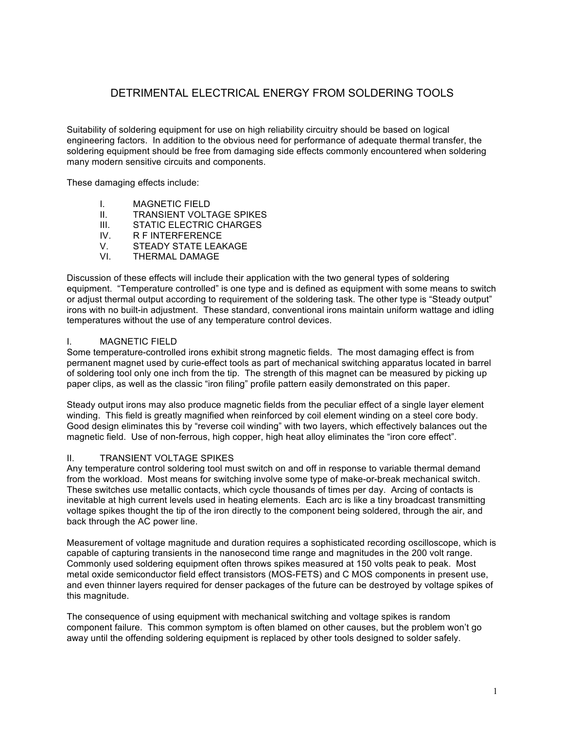# DETRIMENTAL ELECTRICAL ENERGY FROM SOLDERING TOOLS

Suitability of soldering equipment for use on high reliability circuitry should be based on logical engineering factors. In addition to the obvious need for performance of adequate thermal transfer, the soldering equipment should be free from damaging side effects commonly encountered when soldering many modern sensitive circuits and components.

These damaging effects include:

- I. MAGNETIC FIELD
- II. TRANSIENT VOLTAGE SPIKES
- III. STATIC ELECTRIC CHARGES
- IV. R F INTERFERENCE
- V. STEADY STATE LEAKAGE
- VI. THERMAL DAMAGE

Discussion of these effects will include their application with the two general types of soldering equipment. "Temperature controlled" is one type and is defined as equipment with some means to switch or adjust thermal output according to requirement of the soldering task. The other type is "Steady output" irons with no built-in adjustment. These standard, conventional irons maintain uniform wattage and idling temperatures without the use of any temperature control devices.

### I. MAGNETIC FIELD

Some temperature-controlled irons exhibit strong magnetic fields. The most damaging effect is from permanent magnet used by curie-effect tools as part of mechanical switching apparatus located in barrel of soldering tool only one inch from the tip. The strength of this magnet can be measured by picking up paper clips, as well as the classic "iron filing" profile pattern easily demonstrated on this paper.

Steady output irons may also produce magnetic fields from the peculiar effect of a single layer element winding. This field is greatly magnified when reinforced by coil element winding on a steel core body. Good design eliminates this by "reverse coil winding" with two layers, which effectively balances out the magnetic field. Use of non-ferrous, high copper, high heat alloy eliminates the "iron core effect".

### II. TRANSIENT VOLTAGE SPIKES

Any temperature control soldering tool must switch on and off in response to variable thermal demand from the workload. Most means for switching involve some type of make-or-break mechanical switch. These switches use metallic contacts, which cycle thousands of times per day. Arcing of contacts is inevitable at high current levels used in heating elements. Each arc is like a tiny broadcast transmitting voltage spikes thought the tip of the iron directly to the component being soldered, through the air, and back through the AC power line.

Measurement of voltage magnitude and duration requires a sophisticated recording oscilloscope, which is capable of capturing transients in the nanosecond time range and magnitudes in the 200 volt range. Commonly used soldering equipment often throws spikes measured at 150 volts peak to peak. Most metal oxide semiconductor field effect transistors (MOS-FETS) and C MOS components in present use, and even thinner layers required for denser packages of the future can be destroyed by voltage spikes of this magnitude.

The consequence of using equipment with mechanical switching and voltage spikes is random component failure. This common symptom is often blamed on other causes, but the problem won't go away until the offending soldering equipment is replaced by other tools designed to solder safely.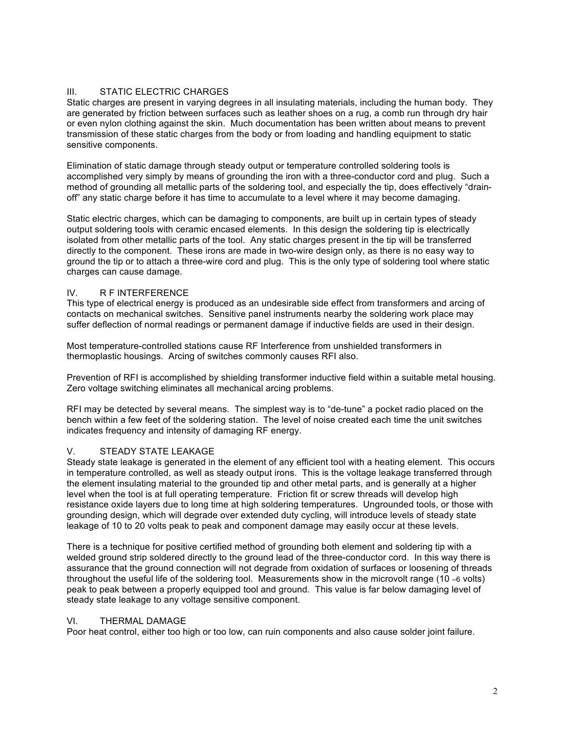## III. STATIC ELECTRIC CHARGES

Static charges are present in varying degrees in all insulating materials, including the human body. They are generated by friction between surfaces such as leather shoes on a rug, a comb run through dry hair or even nylon clothing against the skin. Much documentation has been written about means to prevent transmission of these static charges from the body or from loading and handling equipment to static sensitive components.

Elimination of static damage through steady output or temperature controlled soldering tools is accomplished very simply by means of grounding the iron with a three-conductor cord and plug. Such a method of grounding all metallic parts of the soldering tool, and especially the tip, does effectively "drainoff" any static charge before it has time to accumulate to a level where it may become damaging.

Static electric charges, which can be damaging to components, are built up in certain types of steady output soldering tools with ceramic encased elements. In this design the soldering tip is electrically isolated from other metallic parts of the tool. Any static charges present in the tip will be transferred directly to the component. These irons are made in two-wire design only, as there is no easy way to ground the tip or to attach a three-wire cord and plug. This is the only type of soldering tool where static charges can cause damage.

## IV. R F INTERFERENCE

This type of electrical energy is produced as an undesirable side effect from transformers and arcing of contacts on mechanical switches. Sensitive panel instruments nearby the soldering work place may suffer deflection of normal readings or permanent damage if inductive fields are used in their design.

Most temperature-controlled stations cause RF Interference from unshielded transformers in thermoplastic housings. Arcing of switches commonly causes RFI also.

Prevention of RFI is accomplished by shielding transformer inductive field within a suitable metal housing. Zero voltage switching eliminates all mechanical arcing problems.

RFI may be detected by several means. The simplest way is to "de-tune" a pocket radio placed on the bench within a few feet of the soldering station. The level of noise created each time the unit switches indicates frequency and intensity of damaging RF energy.

## V. STEADY STATE LEAKAGE

Steady state leakage is generated in the element of any efficient tool with a heating element. This occurs in temperature controlled, as well as steady output irons. This is the voltage leakage transferred through the element insulating material to the grounded tip and other metal parts, and is generally at a higher level when the tool is at full operating temperature. Friction fit or screw threads will develop high resistance oxide layers due to long time at high soldering temperatures. Ungrounded tools, or those with grounding design, which will degrade over extended duty cycling, will introduce levels of steady state leakage of 10 to 20 volts peak to peak and component damage may easily occur at these levels.

There is a technique for positive certified method of grounding both element and soldering tip with a welded ground strip soldered directly to the ground lead of the three-conductor cord. In this way there is assurance that the ground connection will not degrade from oxidation of surfaces or loosening of threads throughout the useful life of the soldering tool. Measurements show in the microvolt range (10 –6 volts) peak to peak between a properly equipped tool and ground. This value is far below damaging level of steady state leakage to any voltage sensitive component.

### VI. THERMAL DAMAGE

Poor heat control, either too high or too low, can ruin components and also cause solder joint failure.